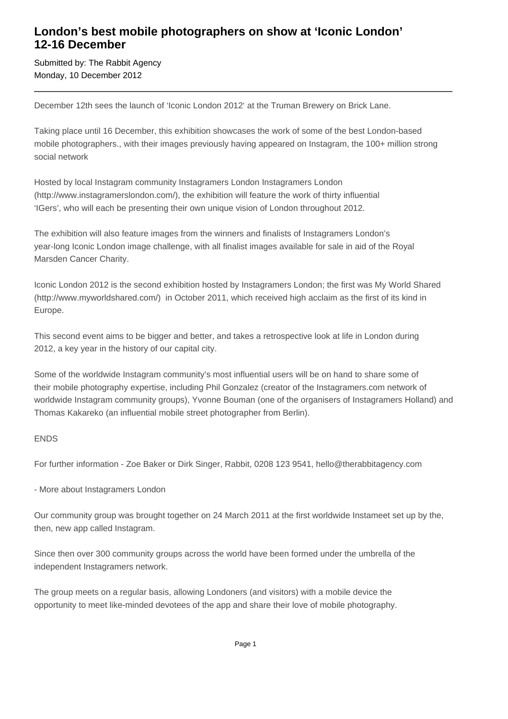## **London's best mobile photographers on show at 'Iconic London' 12-16 December**

Submitted by: The Rabbit Agency Monday, 10 December 2012

December 12th sees the launch of 'Iconic London 2012' at the Truman Brewery on Brick Lane.

Taking place until 16 December, this exhibition showcases the work of some of the best London-based mobile photographers., with their images previously having appeared on Instagram, the 100+ million strong social network

Hosted by local Instagram community Instagramers London Instagramers London (http://www.instagramerslondon.com/), the exhibition will feature the work of thirty influential 'IGers', who will each be presenting their own unique vision of London throughout 2012.

The exhibition will also feature images from the winners and finalists of Instagramers London's year-long Iconic London image challenge, with all finalist images available for sale in aid of the Royal Marsden Cancer Charity.

Iconic London 2012 is the second exhibition hosted by Instagramers London; the first was My World Shared (http://www.myworldshared.com/) in October 2011, which received high acclaim as the first of its kind in Europe.

This second event aims to be bigger and better, and takes a retrospective look at life in London during 2012, a key year in the history of our capital city.

Some of the worldwide Instagram community's most influential users will be on hand to share some of their mobile photography expertise, including Phil Gonzalez (creator of the Instagramers.com network of worldwide Instagram community groups), Yvonne Bouman (one of the organisers of Instagramers Holland) and Thomas Kakareko (an influential mobile street photographer from Berlin).

### ENDS

For further information - Zoe Baker or Dirk Singer, Rabbit, 0208 123 9541, hello@therabbitagency.com

- More about Instagramers London

Our community group was brought together on 24 March 2011 at the first worldwide Instameet set up by the, then, new app called Instagram.

Since then over 300 community groups across the world have been formed under the umbrella of the independent Instagramers network.

The group meets on a regular basis, allowing Londoners (and visitors) with a mobile device the opportunity to meet like-minded devotees of the app and share their love of mobile photography.